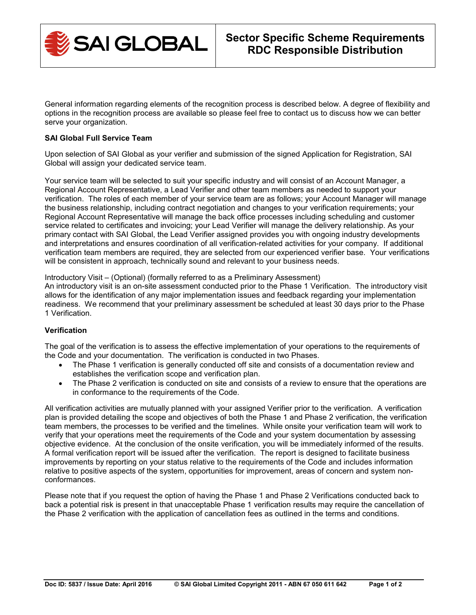

General information regarding elements of the recognition process is described below. A degree of flexibility and options in the recognition process are available so please feel free to contact us to discuss how we can better serve your organization.

# **SAI Global Full Service Team**

Upon selection of SAI Global as your verifier and submission of the signed Application for Registration, SAI Global will assign your dedicated service team.

Your service team will be selected to suit your specific industry and will consist of an Account Manager, a Regional Account Representative, a Lead Verifier and other team members as needed to support your verification. The roles of each member of your service team are as follows; your Account Manager will manage the business relationship, including contract negotiation and changes to your verification requirements; your Regional Account Representative will manage the back office processes including scheduling and customer service related to certificates and invoicing; your Lead Verifier will manage the delivery relationship. As your primary contact with SAI Global, the Lead Verifier assigned provides you with ongoing industry developments and interpretations and ensures coordination of all verification-related activities for your company. If additional verification team members are required, they are selected from our experienced verifier base. Your verifications will be consistent in approach, technically sound and relevant to your business needs.

Introductory Visit – (Optional) (formally referred to as a Preliminary Assessment)

An introductory visit is an on-site assessment conducted prior to the Phase 1 Verification. The introductory visit allows for the identification of any major implementation issues and feedback regarding your implementation readiness. We recommend that your preliminary assessment be scheduled at least 30 days prior to the Phase 1 Verification.

## **Verification**

The goal of the verification is to assess the effective implementation of your operations to the requirements of the Code and your documentation. The verification is conducted in two Phases.

- The Phase 1 verification is generally conducted off site and consists of a documentation review and establishes the verification scope and verification plan.
- The Phase 2 verification is conducted on site and consists of a review to ensure that the operations are in conformance to the requirements of the Code.

All verification activities are mutually planned with your assigned Verifier prior to the verification. A verification plan is provided detailing the scope and objectives of both the Phase 1 and Phase 2 verification, the verification team members, the processes to be verified and the timelines. While onsite your verification team will work to verify that your operations meet the requirements of the Code and your system documentation by assessing objective evidence. At the conclusion of the onsite verification, you will be immediately informed of the results. A formal verification report will be issued after the verification. The report is designed to facilitate business improvements by reporting on your status relative to the requirements of the Code and includes information relative to positive aspects of the system, opportunities for improvement, areas of concern and system nonconformances.

Please note that if you request the option of having the Phase 1 and Phase 2 Verifications conducted back to back a potential risk is present in that unacceptable Phase 1 verification results may require the cancellation of the Phase 2 verification with the application of cancellation fees as outlined in the terms and conditions.